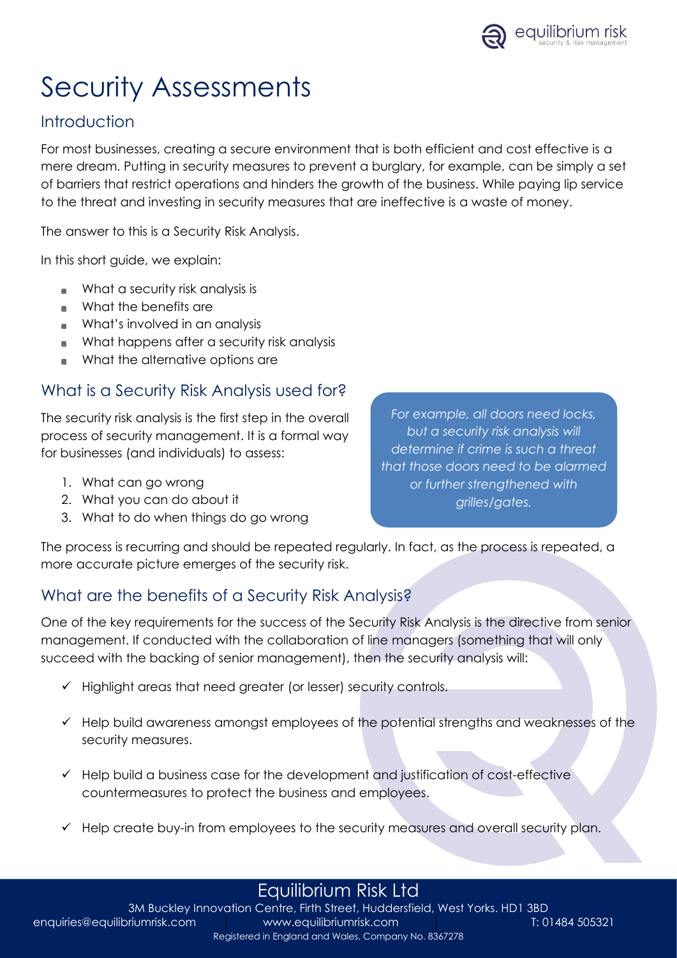

# Security Assessments

## **Introduction**

For most businesses, creating a secure environment that is both efficient and cost effective is a mere dream. Putting in security measures to prevent a burglary, for example, can be simply a set of barriers that restrict operations and hinders the growth of the business. While paying lip service to the threat and investing in security measures that are ineffective is a waste of money.

The answer to this is a Security Risk Analysis.

In this short guide, we explain:

- What a security risk analysis is ð
- What the benefits are
- What's involved in an analysis
- What happens after a security risk analysis  $\blacksquare$
- What the alternative options are

#### What is a Security Risk Analysis used for?

The security risk analysis is the first step in the overall process of security management. It is a formal way for businesses (and individuals) to assess:

- 1. What can go wrong
- 2. What you can do about it
- 3. What to do when things do go wrong

*For example, all doors need locks, but a security risk analysis will determine if crime is such a threat that those doors need to be alarmed or further strengthened with grilles/gates.*

The process is recurring and should be repeated regularly. In fact, as the process is repeated, a more accurate picture emerges of the security risk.

### What are the benefits of a Security Risk Analysis?

One of the key requirements for the success of the Security Risk Analysis is the directive from senior management. If conducted with the collaboration of line managers (something that will only succeed with the backing of senior management), then the security analysis will:

- ✓ Highlight areas that need greater (or lesser) security controls.
- ✓ Help build awareness amongst employees of the potential strengths and weaknesses of the security measures.
- $\checkmark$  Help build a business case for the development and justification of cost-effective countermeasures to protect the business and employees.
- $\checkmark$  Help create buy-in from employees to the security measures and overall security plan.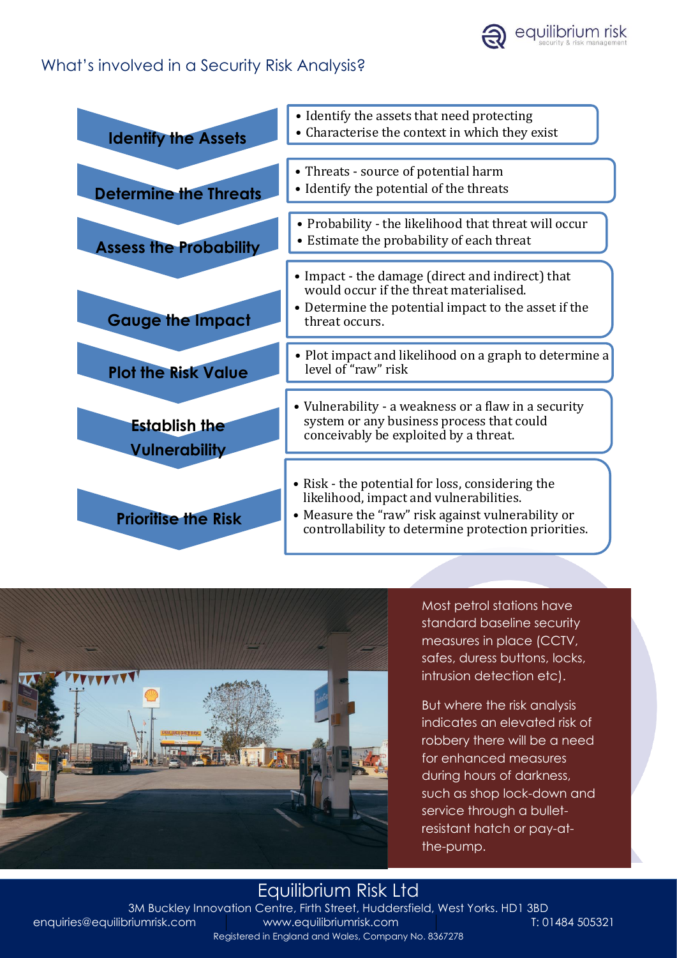### What's involved in a Security Risk Analysis?

| <b>Identify the Assets</b>                   | • Identify the assets that need protecting<br>• Characterise the context in which they exist                                                                                                            |
|----------------------------------------------|---------------------------------------------------------------------------------------------------------------------------------------------------------------------------------------------------------|
| <b>Determine the Threats</b>                 | • Threats - source of potential harm<br>• Identify the potential of the threats                                                                                                                         |
| <b>Assess the Probability</b>                | • Probability - the likelihood that threat will occur<br>• Estimate the probability of each threat                                                                                                      |
| <b>Gauge the Impact</b>                      | • Impact - the damage (direct and indirect) that<br>would occur if the threat materialised.<br>• Determine the potential impact to the asset if the<br>threat occurs.                                   |
| <b>Plot the Risk Value</b>                   | • Plot impact and likelihood on a graph to determine a<br>level of "raw" risk                                                                                                                           |
| <b>Establish the</b><br><b>Vulnerability</b> | • Vulnerability - a weakness or a flaw in a security<br>system or any business process that could<br>conceivably be exploited by a threat.                                                              |
| <b>Prioritise the Risk</b>                   | • Risk - the potential for loss, considering the<br>likelihood, impact and vulnerabilities.<br>• Measure the "raw" risk against vulnerability or<br>controllability to determine protection priorities. |



Most petrol stations have standard baseline security measures in place (CCTV, safes, duress buttons, locks, intrusion detection etc).

But where the risk analysis indicates an elevated risk of robbery there will be a need for enhanced measures during hours of darkness, such as shop lock-down and service through a bulletresistant hatch or pay-atthe-pump.

#### Equilibrium Risk Ltd [3M Buckley Innovation Centre, Firth Street, Huddersfield, West Yorks. HD1 3BD](http://www.equilibriumrisk.com) enquiries@equilibriumrisk.com www.equilibriumrisk.com T: 01484 505321 Registered in England and Wales, Company No. 8367278

equilibrium risk